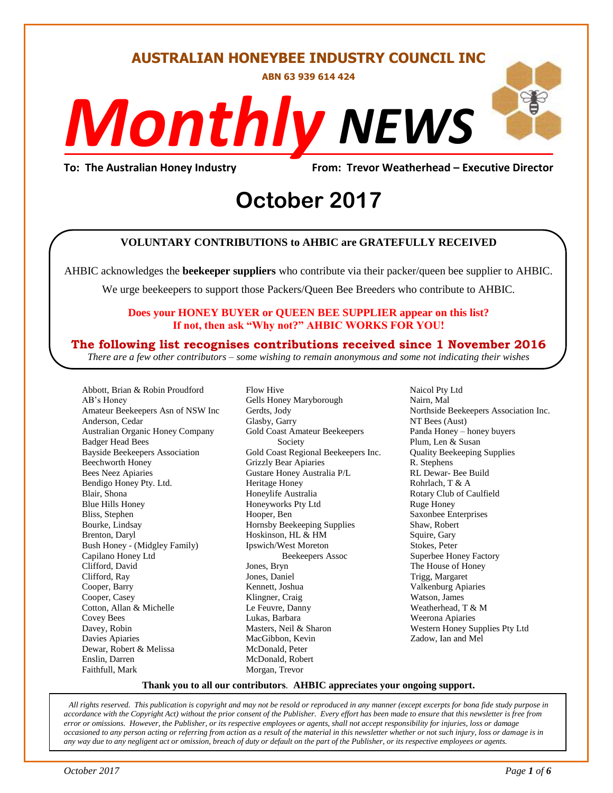**AUSTRALIAN HONEYBEE INDUSTRY COUNCIL INC**

**ABN 63 939 614 424**

# *NEWS Monthly*

**To: The Australian Honey Industry From: Trevor Weatherhead – Executive Director**

# From: Trevor wear<br> **October** 2017

### **VOLUNTARY CONTRIBUTIONS to AHBIC are GRATEFULLY RECEIVED**

AHBIC acknowledges the **beekeeper suppliers** who contribute via their packer/queen bee supplier to AHBIC.

We urge beekeepers to support those Packers/Queen Bee Breeders who contribute to AHBIC.

### **Does your HONEY BUYER or QUEEN BEE SUPPLIER appear on this list? If not, then ask "Why not?" AHBIC WORKS FOR YOU!**

### **The following list recognises contributions received since 1 November 2016**

*There are a few other contributors – some wishing to remain anonymous and some not indicating their wishes*

Abbott, Brian & Robin Proudford AB's Honey Amateur Beekeepers Asn of NSW Inc Anderson, Cedar Australian Organic Honey Company Badger Head Bees Bayside Beekeepers Association Beechworth Honey Bees Neez Apiaries Bendigo Honey Pty. Ltd. Blair, Shona Blue Hills Honey Bliss, Stephen Bourke, Lindsay Brenton, Daryl Bush Honey - (Midgley Family) Capilano Honey Ltd Clifford, David Clifford, Ray Cooper, Barry Cooper, Casey Cotton, Allan & Michelle Covey Bees Davey, Robin Davies Apiaries Dewar, Robert & Melissa Enslin, Darren Faithfull, Mark

Flow Hive Gells Honey Maryborough Gerdts, Jody Glasby, Garry Gold Coast Amateur Beekeepers Society Gold Coast Regional Beekeepers Inc. Grizzly Bear Apiaries Gustare Honey Australia P/L Heritage Honey Honeylife Australia Honeyworks Pty Ltd Hooper, Ben Hornsby Beekeeping Supplies Hoskinson, HL & HM Ipswich/West Moreton Beekeepers Assoc Jones, Bryn Jones, Daniel Kennett, Joshua Klingner, Craig Le Feuvre, Danny Lukas, Barbara Masters, Neil & Sharon MacGibbon, Kevin McDonald, Peter McDonald, Robert Morgan, Trevor

Naicol Pty Ltd Nairn, Mal Northside Beekeepers Association Inc. NT Bees (Aust) Panda Honey – honey buyers Plum, Len & Susan Quality Beekeeping Supplies R. Stephens RL Dewar- Bee Build Rohrlach, T & A Rotary Club of Caulfield Ruge Honey Saxonbee Enterprises Shaw, Robert Squire, Gary Stokes, Peter Superbee Honey Factory The House of Honey Trigg, Margaret Valkenburg Apiaries Watson, James Weatherhead, T & M Weerona Apiaries Western Honey Supplies Pty Ltd Zadow, Ian and Mel

### **Thank you to all our contributors***.* **AHBIC appreciates your ongoing support.**

*All rights reserved. This publication is copyright and may not be resold or reproduced in any manner (except excerpts for bona fide study purpose in accordance with the Copyright Act) without the prior consent of the Publisher. Every effort has been made to ensure that this newsletter is free from error or omissions. However, the Publisher, or its respective employees or agents, shall not accept responsibility for injuries, loss or damage occasioned to any person acting or referring from action as a result of the material in this newsletter whether or not such injury, loss or damage is in any way due to any negligent act or omission, breach of duty or default on the part of the Publisher, or its respective employees or agents.*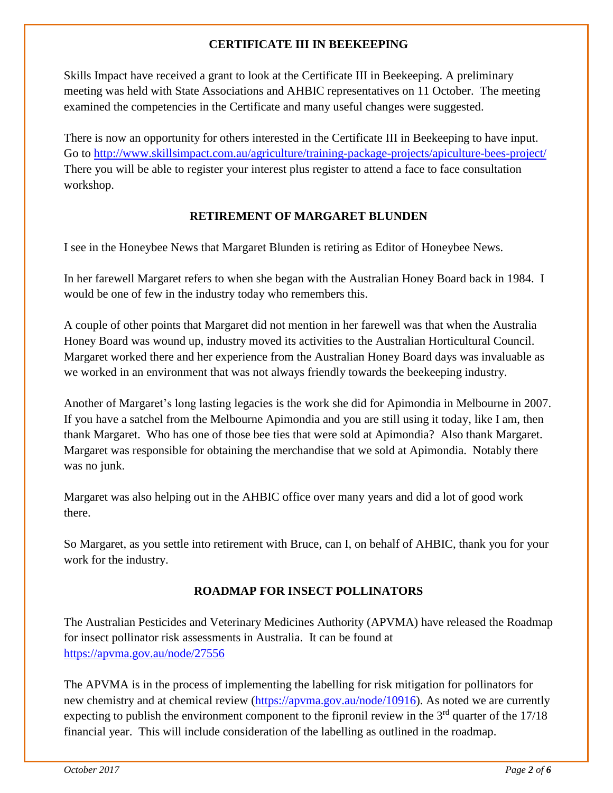### **CERTIFICATE III IN BEEKEEPING**

Skills Impact have received a grant to look at the Certificate III in Beekeeping. A preliminary meeting was held with State Associations and AHBIC representatives on 11 October. The meeting examined the competencies in the Certificate and many useful changes were suggested.

There is now an opportunity for others interested in the Certificate III in Beekeeping to have input. Go to<http://www.skillsimpact.com.au/agriculture/training-package-projects/apiculture-bees-project/> There you will be able to register your interest plus register to attend a face to face consultation workshop.

### **RETIREMENT OF MARGARET BLUNDEN**

I see in the Honeybee News that Margaret Blunden is retiring as Editor of Honeybee News.

In her farewell Margaret refers to when she began with the Australian Honey Board back in 1984. I would be one of few in the industry today who remembers this.

A couple of other points that Margaret did not mention in her farewell was that when the Australia Honey Board was wound up, industry moved its activities to the Australian Horticultural Council. Margaret worked there and her experience from the Australian Honey Board days was invaluable as we worked in an environment that was not always friendly towards the beekeeping industry.

Another of Margaret's long lasting legacies is the work she did for Apimondia in Melbourne in 2007. If you have a satchel from the Melbourne Apimondia and you are still using it today, like I am, then thank Margaret. Who has one of those bee ties that were sold at Apimondia? Also thank Margaret. Margaret was responsible for obtaining the merchandise that we sold at Apimondia. Notably there was no junk.

Margaret was also helping out in the AHBIC office over many years and did a lot of good work there.

So Margaret, as you settle into retirement with Bruce, can I, on behalf of AHBIC, thank you for your work for the industry.

## **ROADMAP FOR INSECT POLLINATORS**

The Australian Pesticides and Veterinary Medicines Authority (APVMA) have released the Roadmap for insect pollinator risk assessments in Australia. It can be found at <https://apvma.gov.au/node/27556>

The APVMA is in the process of implementing the labelling for risk mitigation for pollinators for new chemistry and at chemical review [\(https://apvma.gov.au/node/10916\)](https://apvma.gov.au/node/10916). As noted we are currently expecting to publish the environment component to the fipronil review in the  $3<sup>rd</sup>$  quarter of the 17/18 financial year. This will include consideration of the labelling as outlined in the roadmap.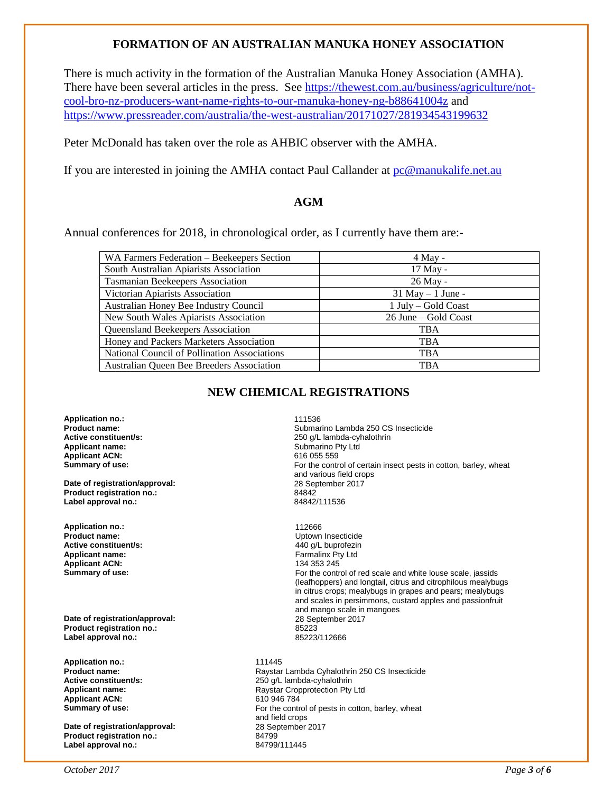### **FORMATION OF AN AUSTRALIAN MANUKA HONEY ASSOCIATION**

There is much activity in the formation of the Australian Manuka Honey Association (AMHA). There have been several articles in the press. See [https://thewest.com.au/business/agriculture/not](https://thewest.com.au/business/agriculture/not-cool-bro-nz-producers-want-name-rights-to-our-manuka-honey-ng-b88641004z)[cool-bro-nz-producers-want-name-rights-to-our-manuka-honey-ng-b88641004z](https://thewest.com.au/business/agriculture/not-cool-bro-nz-producers-want-name-rights-to-our-manuka-honey-ng-b88641004z) and <https://www.pressreader.com/australia/the-west-australian/20171027/281934543199632>

Peter McDonald has taken over the role as AHBIC observer with the AMHA.

If you are interested in joining the AMHA contact Paul Callander at [pc@manukalife.net.au](mailto:pc@manukalife.net.au)

### **AGM**

Annual conferences for 2018, in chronological order, as I currently have them are:-

| WA Farmers Federation - Beekeepers Section   | $4$ May -            |  |
|----------------------------------------------|----------------------|--|
| South Australian Apiarists Association       | 17 May -             |  |
| <b>Tasmanian Beekeepers Association</b>      | 26 May -             |  |
| Victorian Apiarists Association              | $31$ May $-1$ June - |  |
| Australian Honey Bee Industry Council        | 1 July – Gold Coast  |  |
| New South Wales Apiarists Association        | 26 June – Gold Coast |  |
| <b>Queensland Beekeepers Association</b>     | <b>TBA</b>           |  |
| Honey and Packers Marketers Association      | <b>TBA</b>           |  |
| National Council of Pollination Associations | <b>TBA</b>           |  |
| Australian Queen Bee Breeders Association    | <b>TBA</b>           |  |

### **NEW CHEMICAL REGISTRATIONS**

**Application no.:** 111536 **Applicant ACN:**<br>Summary of use:

**Date of registration/approval:** 28 September 28 September 28 September 2017 128 September 2017 128 September 2017 128 September 2017 128 September 2017 128 September 2017 128 September 2017 128 September 2017 128 Septembe **Product registration no.:** 84842 Label approval no.:

**Application no.:** 112666 **Active constituent/s: Applicant name:** Farmalinx Pty Ltd **Applicant ACN:**<br>Summary of use:

**Date of registration/approval:** 28 September 2017 **Product registration no.:** 85223 Label approval no.:

**Application no.: 111445**<br>**Product name: 111445**<br>Raystar **Applicant ACN:** 610 946 784<br> **Summary of use:** Example 20 60 For the contr

**Date of registration/approval:** 28 September 28 September 2017 28 September 2017 28 September 2017 2018 **Product registration no.: Label approval no.:** 84799/111445

**Product name: Product name: Submarino Lambda 250 CS Insecticide**<br> **Active constituent/s:** 250 0/L lambda-cvhalothrin **Active constituent/s:** <br> **Applicant name:** <br> **Applicant name:** <br> **Applicant name:** <br> **Applicant name:** <br> **Applicant name:** <br> **Applicant name:** <br> **Applicant name:** <br> **Applicant name:** <br> **Applicant name:** <br> **Applicant name:** Submarino Pty Ltd<br>616 055 559 For the control of certain insect pests in cotton, barley, wheat and various field crops<br>28 September 2017

> **Uptown Insecticide**<br>440 g/L buprofezin For the control of red scale and white louse scale, jassids (leafhoppers) and longtail, citrus and citrophilous mealybugs in citrus crops; mealybugs in grapes and pears; mealybugs and scales in persimmons, custard apples and passionfruit and mango scale in mangoes

**Product name: Raystar Lambda Cyhalothrin 250 CS Insecticide Active constituent/s: 250 Q/L lambda-cyhalothrin 250 CS Insecticide Active constituent/s:** <br>**Applicant name:** <br>**Applicant name:** <br>**Applicant name:** <br>**Raystar Cropprotection Pty Applicant name:** Raystar Cropprotection Pty Ltd For the control of pests in cotton, barley, wheat and field crops<br>28 September 2017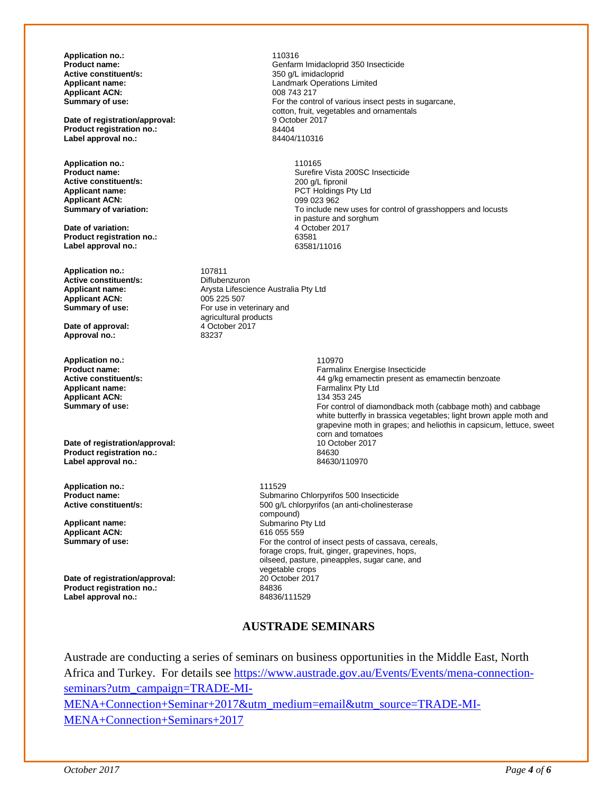**Application no.: 110316**<br> **Product name: Center of Center Section Active constituent/s:**<br>Applicant name: **Applicant ACN:**<br>Summary of use:

**Date of registration/approval:** 9 October 2017 19 9 October 2017 19:30 19:4404 **Product registration no.:** 84404<br> **Label approval no.:** 84404/110316 Label approval no.:

**Application no.:** 110165 **Active constituent/s:**<br>Applicant name: **Applicant ACN:**<br>Summary of variation:

**Date of variation:**  $\overline{4 \cdot 0}$  4 October 2017 **Product registration no.:** 63581 **Label approval no.:** 

**Application no.:** 107811<br> **Active constituent/s:** Diflubenzuron **Active constituent/s:**<br>Applicant name: Applicant ACN:<br>Summary of use:

**Date of approval:** 4 October 2017<br> **Approval no.:** 83237 Approval no.:

**Application no.:** 110970 **Applicant ACN:**<br>Summary of use:

**Date of registration/approval:** 10 October 2017<br> **Product registration no.:** 84630 **Product registration no.:** 84630 **Label approval no.:** 

**Application no.: 111529**<br>**Product name: 111529** 

**Applicant ACN:**<br>Summary of use:

**Date of registration/approval:** 20 October 2017<br> **Product registration no:** 24836 **Product registration no.:** 84836 **Label approval no.:** 

Genfarm Imidacloprid 350 Insecticide<br>350 g/L imidacloprid Landmark Operations Limited<br>008 743 217 For the control of various insect pests in sugarcane, cotton, fruit, vegetables and ornamentals<br>9 October 2017

> Surefire Vista 200SC Insecticide<br>200 g/L fipronil PCT Holdings Pty Ltd<br>099 023 962 To include new uses for control of grasshoppers and locusts in pasture and sorghum<br>4 October 2017

Arysta Lifescience Australia Pty Ltd<br>005 225 507 For use in veterinary and agricultural products<br>4 October 2017

**Product name: Product name: Product name: Active constituent/s: Product name: Active constituent/s: Active constituent/s: Product name: Active constituent/s: Product name: Active constituent/s: Produ Active constituent/s:** <br> **Applicant name:** <br> **Applicant name:** <br> **Applicant name:** <br> **Applicant name:** <br> **Applicant name:** <br> **Applicant name:** <br> **Applicant name:** <br> **Applicant name:** <br> **Applicant name:** <br> **Applicant name:** Farmalinx Pty Ltd<br>134 353 245 For control of diamondback moth (cabbage moth) and cabbage white butterfly in brassica vegetables; light brown apple moth and grapevine moth in grapes; and heliothis in capsicum, lettuce, sweet corn and tomatoes

**Product name: Product name: Product name: Submarino Chlorpyrifos 500 Insecticide**<br> **Active constituent/s: SOO 4/L chlorpyrifos (an anti-cholinester** 500 g/L chlorpyrifos (an anti-cholinesterase compound) **Applicant name:**  $\begin{array}{ccc}\n\bullet & \bullet & \bullet & \bullet \\
\bullet & \bullet & \bullet & \bullet & \bullet \\
\bullet & \bullet & \bullet & \bullet & \bullet \\
\bullet & \bullet & \bullet & \bullet & \bullet\n\end{array}$  Submarino Pty Ltd For the control of insect pests of cassava, cereals, forage crops, fruit, ginger, grapevines, hops, oilseed, pasture, pineapples, sugar cane, and vegetable crops<br>20 October 2017

### **AUSTRADE SEMINARS**

Austrade are conducting a series of seminars on business opportunities in the Middle East, North Africa and Turkey. For details see [https://www.austrade.gov.au/Events/Events/mena-connection](https://www.austrade.gov.au/Events/Events/mena-connection-seminars?utm_campaign=TRADE-MI-MENA+Connection+Seminar+2017&utm_medium=email&utm_source=TRADE-MI-MENA+Connection+Seminars+2017)[seminars?utm\\_campaign=TRADE-MI-](https://www.austrade.gov.au/Events/Events/mena-connection-seminars?utm_campaign=TRADE-MI-MENA+Connection+Seminar+2017&utm_medium=email&utm_source=TRADE-MI-MENA+Connection+Seminars+2017)[MENA+Connection+Seminar+2017&utm\\_medium=email&utm\\_source=TRADE-MI-](https://www.austrade.gov.au/Events/Events/mena-connection-seminars?utm_campaign=TRADE-MI-MENA+Connection+Seminar+2017&utm_medium=email&utm_source=TRADE-MI-MENA+Connection+Seminars+2017)[MENA+Connection+Seminars+2017](https://www.austrade.gov.au/Events/Events/mena-connection-seminars?utm_campaign=TRADE-MI-MENA+Connection+Seminar+2017&utm_medium=email&utm_source=TRADE-MI-MENA+Connection+Seminars+2017)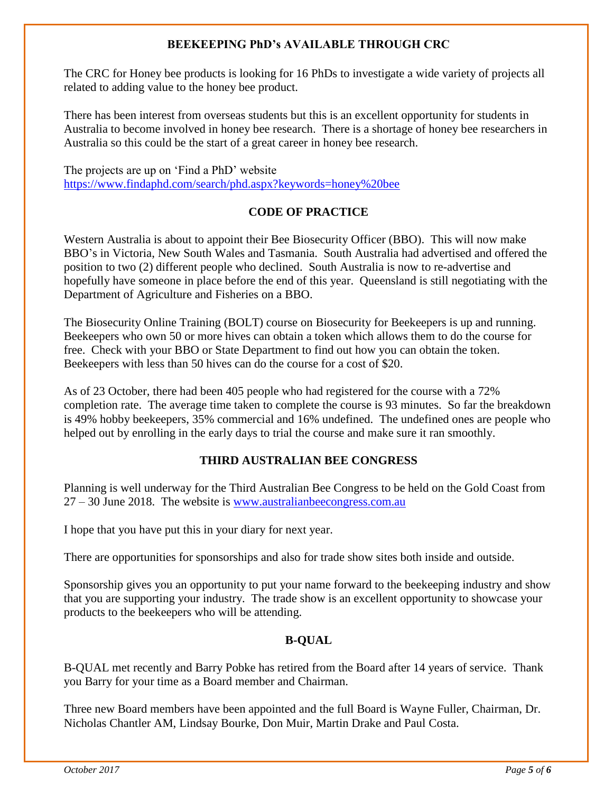### **BEEKEEPING PhD's AVAILABLE THROUGH CRC**

The CRC for Honey bee products is looking for 16 PhDs to investigate a wide variety of projects all related to adding value to the honey bee product.

There has been interest from overseas students but this is an excellent opportunity for students in Australia to become involved in honey bee research. There is a shortage of honey bee researchers in Australia so this could be the start of a great career in honey bee research.

The projects are up on 'Find a PhD' website <https://www.findaphd.com/search/phd.aspx?keywords=honey%20bee>

### **CODE OF PRACTICE**

Western Australia is about to appoint their Bee Biosecurity Officer (BBO). This will now make BBO's in Victoria, New South Wales and Tasmania. South Australia had advertised and offered the position to two (2) different people who declined. South Australia is now to re-advertise and hopefully have someone in place before the end of this year. Queensland is still negotiating with the Department of Agriculture and Fisheries on a BBO.

The Biosecurity Online Training (BOLT) course on Biosecurity for Beekeepers is up and running. Beekeepers who own 50 or more hives can obtain a token which allows them to do the course for free. Check with your BBO or State Department to find out how you can obtain the token. Beekeepers with less than 50 hives can do the course for a cost of \$20.

As of 23 October, there had been 405 people who had registered for the course with a 72% completion rate. The average time taken to complete the course is 93 minutes. So far the breakdown is 49% hobby beekeepers, 35% commercial and 16% undefined. The undefined ones are people who helped out by enrolling in the early days to trial the course and make sure it ran smoothly.

## **THIRD AUSTRALIAN BEE CONGRESS**

Planning is well underway for the Third Australian Bee Congress to be held on the Gold Coast from 27 – 30 June 2018. The website is [www.australianbeecongress.com.au](http://www.australianbeecongress.com.au/)

I hope that you have put this in your diary for next year.

There are opportunities for sponsorships and also for trade show sites both inside and outside.

Sponsorship gives you an opportunity to put your name forward to the beekeeping industry and show that you are supporting your industry. The trade show is an excellent opportunity to showcase your products to the beekeepers who will be attending.

## **B-QUAL**

B-QUAL met recently and Barry Pobke has retired from the Board after 14 years of service. Thank you Barry for your time as a Board member and Chairman.

Three new Board members have been appointed and the full Board is Wayne Fuller, Chairman, Dr. Nicholas Chantler AM, Lindsay Bourke, Don Muir, Martin Drake and Paul Costa.